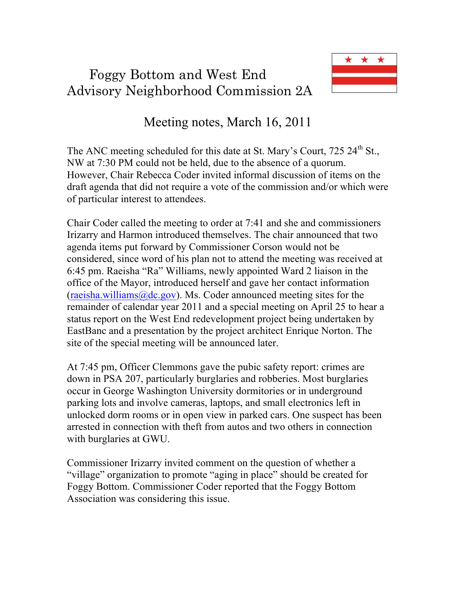## Foggy Bottom and West End Advisory Neighborhood Commission 2A



## Meeting notes, March 16, 2011

The ANC meeting scheduled for this date at St. Mary's Court, 725 24<sup>th</sup> St., NW at 7:30 PM could not be held, due to the absence of a quorum. However, Chair Rebecca Coder invited informal discussion of items on the draft agenda that did not require a vote of the commission and/or which were of particular interest to attendees.

Chair Coder called the meeting to order at 7:41 and she and commissioners Irizarry and Harmon introduced themselves. The chair announced that two agenda items put forward by Commissioner Corson would not be considered, since word of his plan not to attend the meeting was received at 6:45 pm. Raeisha "Ra" Williams, newly appointed Ward 2 liaison in the office of the Mayor, introduced herself and gave her contact information  $(raeisha.williams@dc.gov)$ . Ms. Coder announced meeting sites for the remainder of calendar year 2011 and a special meeting on April 25 to hear a status report on the West End redevelopment project being undertaken by EastBanc and a presentation by the project architect Enrique Norton. The site of the special meeting will be announced later.

At 7:45 pm, Officer Clemmons gave the pubic safety report: crimes are down in PSA 207, particularly burglaries and robberies. Most burglaries occur in George Washington University dormitories or in underground parking lots and involve cameras, laptops, and small electronics left in unlocked dorm rooms or in open view in parked cars. One suspect has been arrested in connection with theft from autos and two others in connection with burglaries at GWU.

Commissioner Irizarry invited comment on the question of whether a "village" organization to promote "aging in place" should be created for Foggy Bottom. Commissioner Coder reported that the Foggy Bottom Association was considering this issue.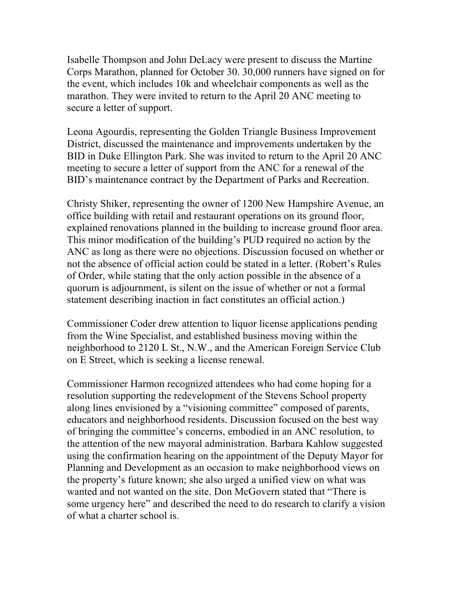Isabelle Thompson and John DeLacy were present to discuss the Martine Corps Marathon, planned for October 30. 30,000 runners have signed on for the event, which includes 10k and wheelchair components as well as the marathon. They were invited to return to the April 20 ANC meeting to secure a letter of support.

Leona Agourdis, representing the Golden Triangle Business Improvement District, discussed the maintenance and improvements undertaken by the BID in Duke Ellington Park. She was invited to return to the April 20 ANC meeting to secure a letter of support from the ANC for a renewal of the BID's maintenance contract by the Department of Parks and Recreation.

Christy Shiker, representing the owner of 1200 New Hampshire Avenue, an office building with retail and restaurant operations on its ground floor, explained renovations planned in the building to increase ground floor area. This minor modification of the building's PUD required no action by the ANC as long as there were no objections. Discussion focused on whether or not the absence of official action could be stated in a letter. (Robert's Rules of Order, while stating that the only action possible in the absence of a quorum is adjournment, is silent on the issue of whether or not a formal statement describing inaction in fact constitutes an official action.)

Commissioner Coder drew attention to liquor license applications pending from the Wine Specialist, and established business moving within the neighborhood to 2120 L St., N.W., and the American Foreign Service Club on E Street, which is seeking a license renewal.

Commissioner Harmon recognized attendees who had come hoping for a resolution supporting the redevelopment of the Stevens School property along lines envisioned by a "visioning committee" composed of parents, educators and neighborhood residents. Discussion focused on the best way of bringing the committee's concerns, embodied in an ANC resolution, to the attention of the new mayoral administration. Barbara Kahlow suggested using the confirmation hearing on the appointment of the Deputy Mayor for Planning and Development as an occasion to make neighborhood views on the property's future known; she also urged a unified view on what was wanted and not wanted on the site. Don McGovern stated that "There is some urgency here" and described the need to do research to clarify a vision of what a charter school is.